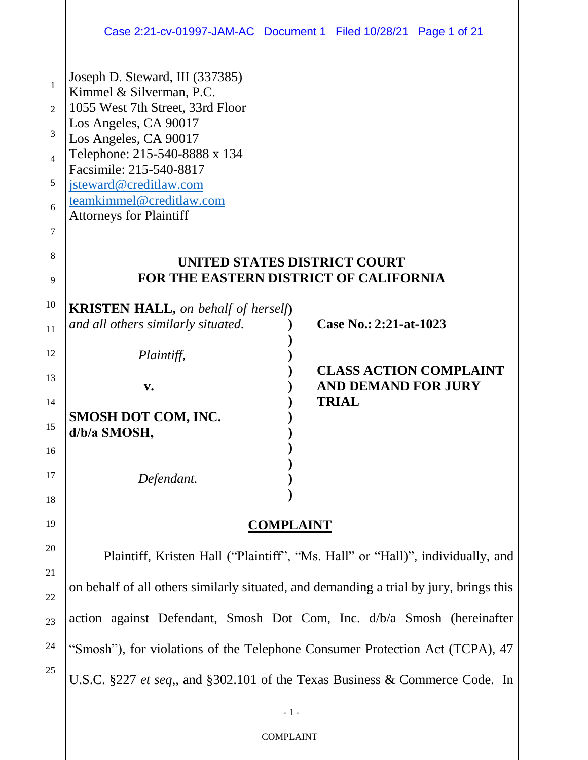|                                                                      | Case 2:21-cv-01997-JAM-AC Document 1 Filed 10/28/21 Page 1 of 21                                                                                                                                                                                                                                      |              |                               |
|----------------------------------------------------------------------|-------------------------------------------------------------------------------------------------------------------------------------------------------------------------------------------------------------------------------------------------------------------------------------------------------|--------------|-------------------------------|
| $\mathbf{1}$<br>$\overline{c}$<br>3<br>$\overline{4}$<br>5<br>6<br>7 | Joseph D. Steward, III (337385)<br>Kimmel & Silverman, P.C.<br>1055 West 7th Street, 33rd Floor<br>Los Angeles, CA 90017<br>Los Angeles, CA 90017<br>Telephone: 215-540-8888 x 134<br>Facsimile: 215-540-8817<br>jsteward@creditlaw.com<br>teamkimmel@creditlaw.com<br><b>Attorneys for Plaintiff</b> |              |                               |
| 8<br>9                                                               | UNITED STATES DISTRICT COURT<br>FOR THE EASTERN DISTRICT OF CALIFORNIA                                                                                                                                                                                                                                |              |                               |
| 10<br>11                                                             | <b>KRISTEN HALL, on behalf of herself)</b><br>and all others similarly situated.                                                                                                                                                                                                                      |              | Case No.: 2:21-at-1023        |
| 12                                                                   | Plaintiff,                                                                                                                                                                                                                                                                                            |              | <b>CLASS ACTION COMPLAINT</b> |
| 13<br>14                                                             | $\mathbf{v}$ .                                                                                                                                                                                                                                                                                        | <b>TRIAL</b> | <b>AND DEMAND FOR JURY</b>    |
| 15                                                                   | SMOSH DOT COM, INC.<br>d/b/a SMOSH,                                                                                                                                                                                                                                                                   |              |                               |
| 16                                                                   |                                                                                                                                                                                                                                                                                                       |              |                               |
| 17<br>18                                                             | Defendant.                                                                                                                                                                                                                                                                                            |              |                               |
| 19                                                                   | <b>COMPLAINT</b>                                                                                                                                                                                                                                                                                      |              |                               |

**COMPLAINT**

20

21

22

23

24

25

Plaintiff, Kristen Hall ("Plaintiff", "Ms. Hall" or "Hall)", individually, and on behalf of all others similarly situated, and demanding a trial by jury, brings this action against Defendant, Smosh Dot Com, Inc. d/b/a Smosh (hereinafter "Smosh"), for violations of the Telephone Consumer Protection Act (TCPA), 47 U.S.C. §227 *et seq*,, and §302.101 of the Texas Business & Commerce Code. In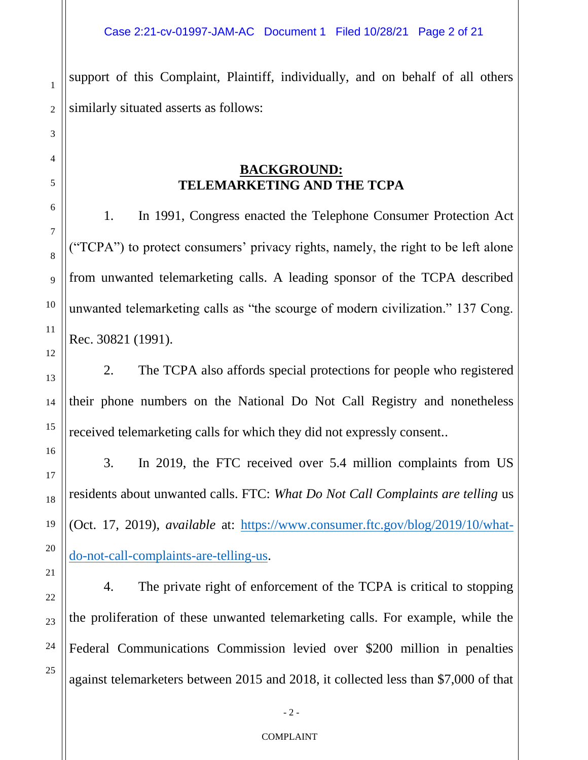support of this Complaint, Plaintiff, individually, and on behalf of all others similarly situated asserts as follows:

# **BACKGROUND: TELEMARKETING AND THE TCPA**

1. In 1991, Congress enacted the Telephone Consumer Protection Act ("TCPA") to protect consumers' privacy rights, namely, the right to be left alone from unwanted telemarketing calls. A leading sponsor of the TCPA described unwanted telemarketing calls as "the scourge of modern civilization." 137 Cong. Rec. 30821 (1991).

2. The TCPA also affords special protections for people who registered their phone numbers on the National Do Not Call Registry and nonetheless received telemarketing calls for which they did not expressly consent..

3. In 2019, the FTC received over 5.4 million complaints from US residents about unwanted calls. FTC: *What Do Not Call Complaints are telling* us (Oct. 17, 2019), *available* at: https://www.consumer.ftc.gov/blog/2019/10/whatdo-not-call-complaints-are-telling-us.

4. The private right of enforcement of the TCPA is critical to stopping the proliferation of these unwanted telemarketing calls. For example, while the Federal Communications Commission levied over \$200 million in penalties against telemarketers between 2015 and 2018, it collected less than \$7,000 of that

1

2

3

4

5

6

7

8

9

10

11

12

13

14

15

16

17

18

19

20

21

22

23

24

25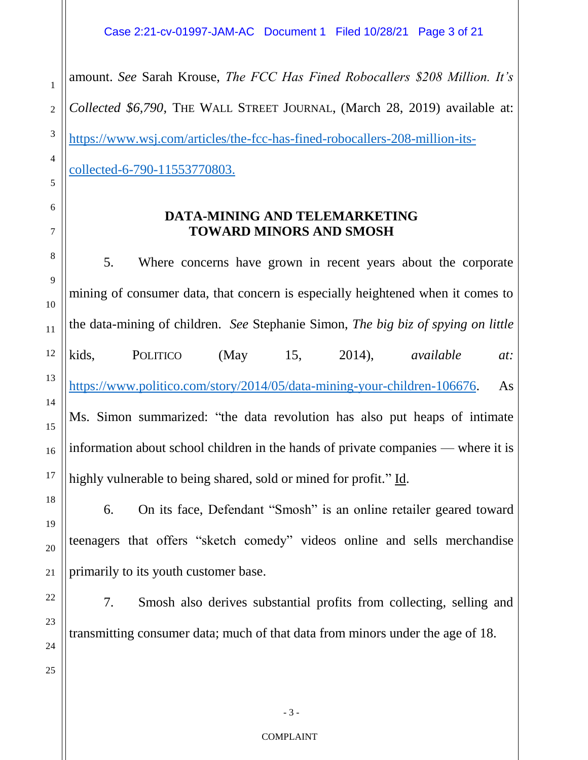2 3 4 amount. *See* Sarah Krouse, *The FCC Has Fined Robocallers \$208 Million. It's Collected \$6,790*, THE WALL STREET JOURNAL, (March 28, 2019) available at: https://www.wsj.com/articles/the-fcc-has-fined-robocallers-208-million-itscollected-6-790-11553770803.

# **DATA-MINING AND TELEMARKETING TOWARD MINORS AND SMOSH**

5. Where concerns have grown in recent years about the corporate mining of consumer data, that concern is especially heightened when it comes to the data-mining of children. *See* Stephanie Simon, *The big biz of spying on little*  kids, POLITICO (May 15, 2014), *available at:*  https://www.politico.com/story/2014/05/data-mining-your-children-106676. As Ms. Simon summarized: "the data revolution has also put heaps of intimate information about school children in the hands of private companies — where it is highly vulnerable to being shared, sold or mined for profit." Id.

6. On its face, Defendant "Smosh" is an online retailer geared toward teenagers that offers "sketch comedy" videos online and sells merchandise primarily to its youth customer base.

7. Smosh also derives substantial profits from collecting, selling and transmitting consumer data; much of that data from minors under the age of 18.

1

5

6

7

8

9

10

11

12

13

14

15

- 3 -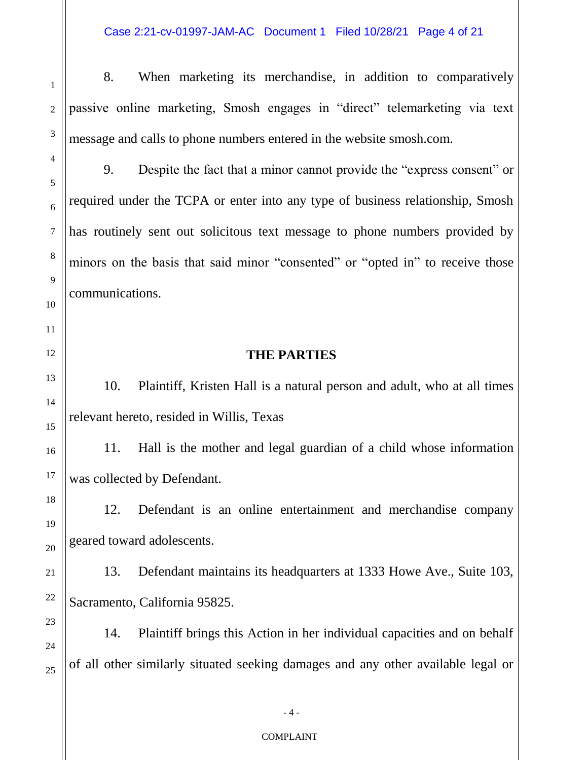1 2

3

4

5

8. When marketing its merchandise, in addition to comparatively passive online marketing, Smosh engages in "direct" telemarketing via text message and calls to phone numbers entered in the website smosh.com.

9. Despite the fact that a minor cannot provide the "express consent" or required under the TCPA or enter into any type of business relationship, Smosh has routinely sent out solicitous text message to phone numbers provided by minors on the basis that said minor "consented" or "opted in" to receive those communications.

# **THE PARTIES**

10. Plaintiff, Kristen Hall is a natural person and adult, who at all times relevant hereto, resided in Willis, Texas

11. Hall is the mother and legal guardian of a child whose information was collected by Defendant.

12. Defendant is an online entertainment and merchandise company geared toward adolescents.

13. Defendant maintains its headquarters at 1333 Howe Ave., Suite 103, Sacramento, California 95825.

14. Plaintiff brings this Action in her individual capacities and on behalf of all other similarly situated seeking damages and any other available legal or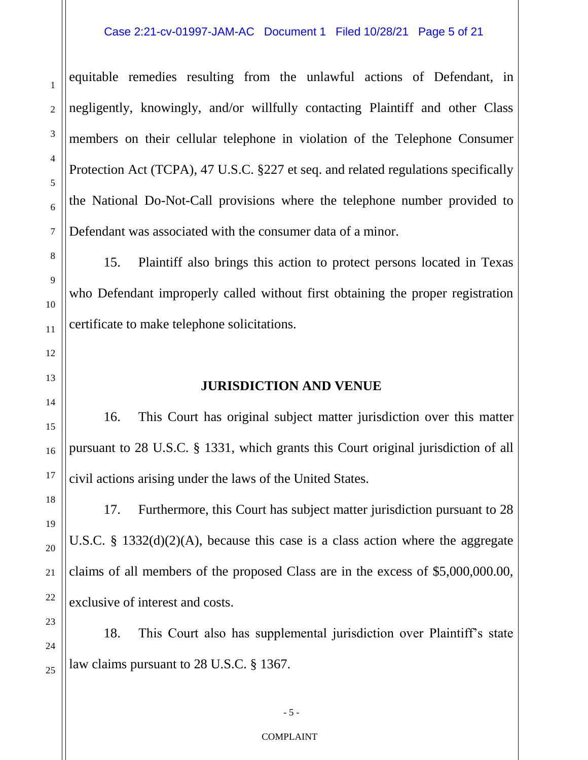## Case 2:21-cv-01997-JAM-AC Document 1 Filed 10/28/21 Page 5 of 21

equitable remedies resulting from the unlawful actions of Defendant, in negligently, knowingly, and/or willfully contacting Plaintiff and other Class members on their cellular telephone in violation of the Telephone Consumer Protection Act (TCPA), 47 U.S.C. §227 et seq. and related regulations specifically the National Do-Not-Call provisions where the telephone number provided to Defendant was associated with the consumer data of a minor.

15. Plaintiff also brings this action to protect persons located in Texas who Defendant improperly called without first obtaining the proper registration certificate to make telephone solicitations.

## **JURISDICTION AND VENUE**

16. This Court has original subject matter jurisdiction over this matter pursuant to 28 U.S.C. § 1331, which grants this Court original jurisdiction of all civil actions arising under the laws of the United States.

17. Furthermore, this Court has subject matter jurisdiction pursuant to 28 U.S.C. § 1332(d)(2)(A), because this case is a class action where the aggregate claims of all members of the proposed Class are in the excess of \$5,000,000.00, exclusive of interest and costs.

18. This Court also has supplemental jurisdiction over Plaintiff's state law claims pursuant to 28 U.S.C. § 1367.

1

2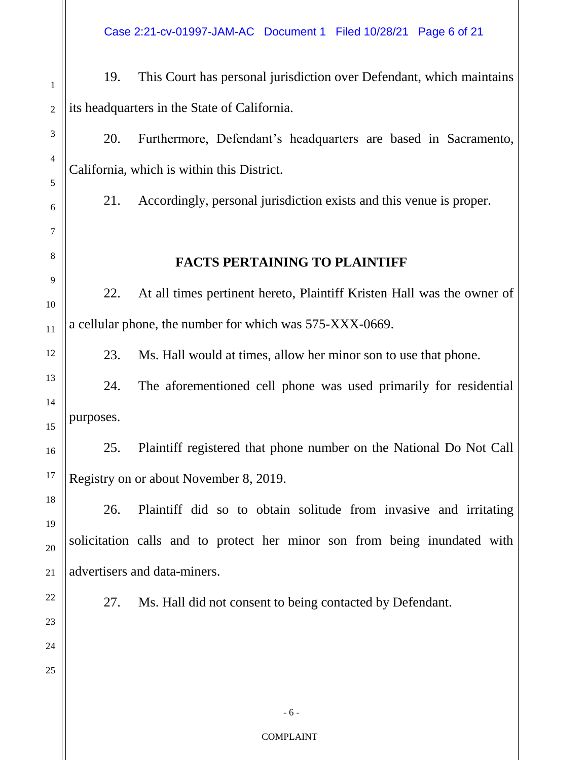Case 2:21-cv-01997-JAM-AC Document 1 Filed 10/28/21 Page 6 of 21

19. This Court has personal jurisdiction over Defendant, which maintains its headquarters in the State of California.

20. Furthermore, Defendant's headquarters are based in Sacramento, California, which is within this District.

21. Accordingly, personal jurisdiction exists and this venue is proper.

## **FACTS PERTAINING TO PLAINTIFF**

22. At all times pertinent hereto, Plaintiff Kristen Hall was the owner of a cellular phone, the number for which was 575-XXX-0669.

23. Ms. Hall would at times, allow her minor son to use that phone.

24. The aforementioned cell phone was used primarily for residential purposes.

25. Plaintiff registered that phone number on the National Do Not Call Registry on or about November 8, 2019.

26. Plaintiff did so to obtain solitude from invasive and irritating solicitation calls and to protect her minor son from being inundated with advertisers and data-miners.

27. Ms. Hall did not consent to being contacted by Defendant.

25

1

2

3

4

5

6

7

8

9

10

11

12

13

14

15

16

17

- 6 -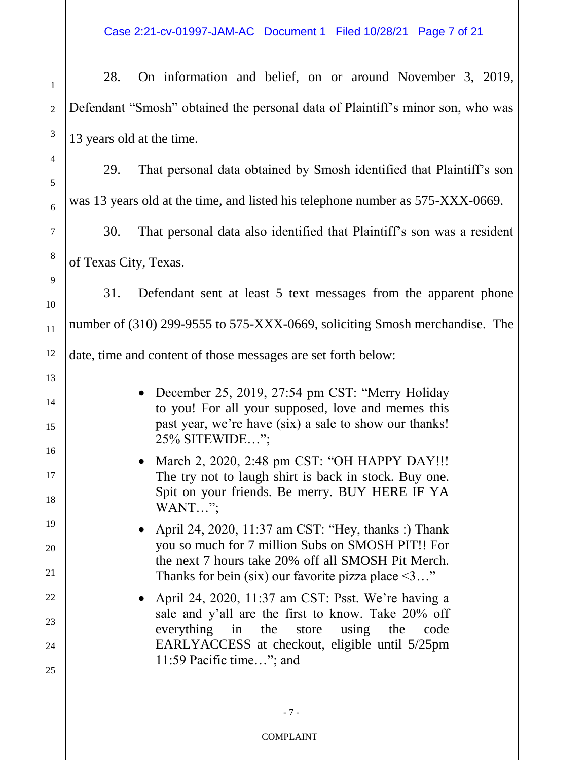1 2 3 4 5 6 7 8 9 10 11 12 13 14 15 16 17 18 19 20 21 22 23 24 25 28. On information and belief, on or around November 3, 2019, Defendant "Smosh" obtained the personal data of Plaintiff's minor son, who was 13 years old at the time. 29. That personal data obtained by Smosh identified that Plaintiff's son was 13 years old at the time, and listed his telephone number as 575-XXX-0669. 30. That personal data also identified that Plaintiff's son was a resident of Texas City, Texas. 31. Defendant sent at least 5 text messages from the apparent phone number of (310) 299-9555 to 575-XXX-0669, soliciting Smosh merchandise. The date, time and content of those messages are set forth below: December 25, 2019, 27:54 pm CST: "Merry Holiday to you! For all your supposed, love and memes this past year, we're have (six) a sale to show our thanks! 25% SITEWIDE…"; • March 2, 2020, 2:48 pm CST: "OH HAPPY DAY!!! The try not to laugh shirt is back in stock. Buy one. Spit on your friends. Be merry. BUY HERE IF YA WANT…"; • April 24, 2020, 11:37 am CST: "Hey, thanks :) Thank you so much for 7 million Subs on SMOSH PIT!! For the next 7 hours take 20% off all SMOSH Pit Merch. Thanks for bein (six) our favorite pizza place  $\leq 3...$ " • April 24, 2020, 11:37 am CST: Psst. We're having a sale and y'all are the first to know. Take 20% off everything in the store using the code EARLYACCESS at checkout, eligible until 5/25pm 11:59 Pacific time…"; and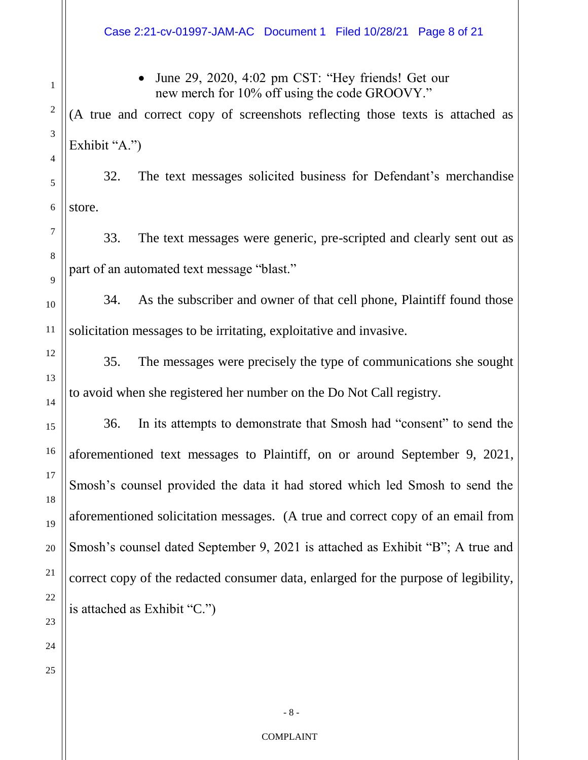# • June 29, 2020, 4:02 pm CST: "Hey friends! Get our new merch for 10% off using the code GROOVY."

(A true and correct copy of screenshots reflecting those texts is attached as Exhibit "A.")

32. The text messages solicited business for Defendant's merchandise store.

33. The text messages were generic, pre-scripted and clearly sent out as part of an automated text message "blast."

34. As the subscriber and owner of that cell phone, Plaintiff found those solicitation messages to be irritating, exploitative and invasive.

35. The messages were precisely the type of communications she sought to avoid when she registered her number on the Do Not Call registry.

36. In its attempts to demonstrate that Smosh had "consent" to send the aforementioned text messages to Plaintiff, on or around September 9, 2021, Smosh's counsel provided the data it had stored which led Smosh to send the aforementioned solicitation messages. (A true and correct copy of an email from Smosh's counsel dated September 9, 2021 is attached as Exhibit "B"; A true and correct copy of the redacted consumer data, enlarged for the purpose of legibility, is attached as Exhibit "C.")

1

2

3

4

5

6

7

8

9

10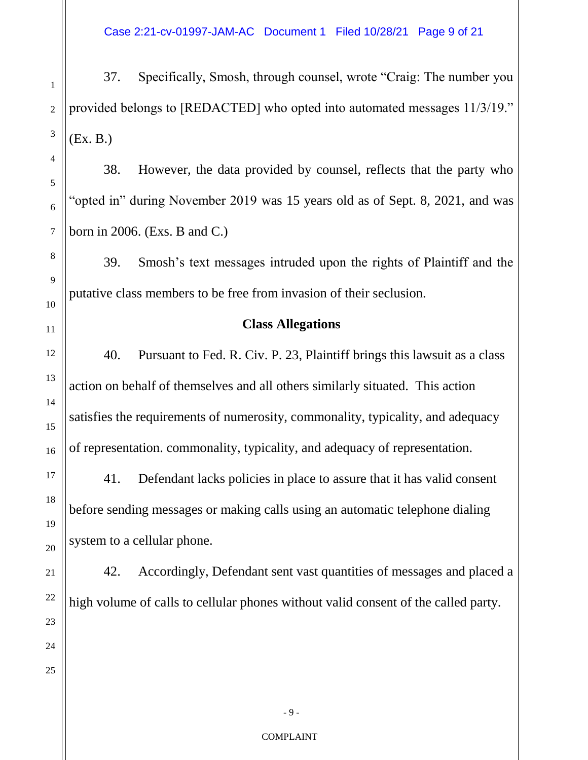Case 2:21-cv-01997-JAM-AC Document 1 Filed 10/28/21 Page 9 of 21

37. Specifically, Smosh, through counsel, wrote "Craig: The number you provided belongs to [REDACTED] who opted into automated messages 11/3/19." (Ex. B.)

38. However, the data provided by counsel, reflects that the party who "opted in" during November 2019 was 15 years old as of Sept. 8, 2021, and was born in 2006. (Exs. B and C.)

39. Smosh's text messages intruded upon the rights of Plaintiff and the putative class members to be free from invasion of their seclusion.

## **Class Allegations**

40. Pursuant to Fed. R. Civ. P. 23, Plaintiff brings this lawsuit as a class action on behalf of themselves and all others similarly situated. This action satisfies the requirements of numerosity, commonality, typicality, and adequacy of representation. commonality, typicality, and adequacy of representation.

41. Defendant lacks policies in place to assure that it has valid consent before sending messages or making calls using an automatic telephone dialing system to a cellular phone.

42. Accordingly, Defendant sent vast quantities of messages and placed a high volume of calls to cellular phones without valid consent of the called party.

1

2

3

- 9 -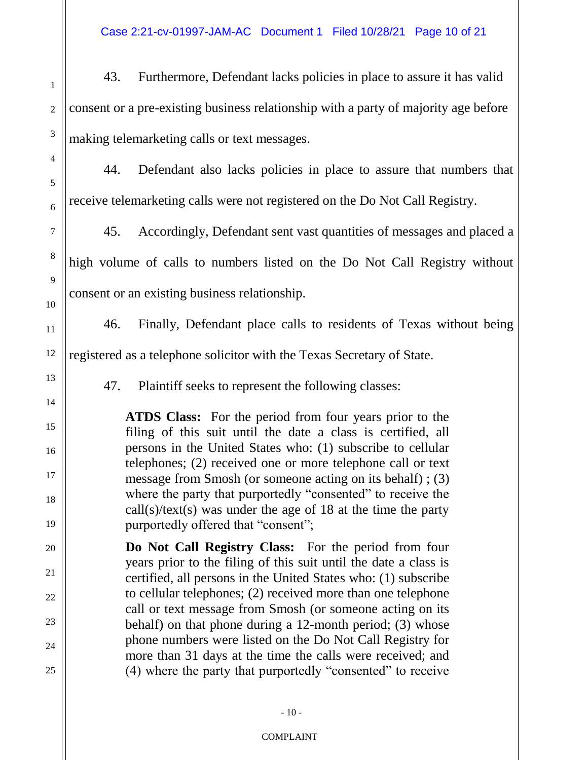Case 2:21-cv-01997-JAM-AC Document 1 Filed 10/28/21 Page 10 of 21

1 2 3 43. Furthermore, Defendant lacks policies in place to assure it has valid consent or a pre-existing business relationship with a party of majority age before making telemarketing calls or text messages.

44. Defendant also lacks policies in place to assure that numbers that receive telemarketing calls were not registered on the Do Not Call Registry.

45. Accordingly, Defendant sent vast quantities of messages and placed a high volume of calls to numbers listed on the Do Not Call Registry without consent or an existing business relationship.

46. Finally, Defendant place calls to residents of Texas without being

12 registered as a telephone solicitor with the Texas Secretary of State.

4

5

6

7

8

9

10

11

13

14

15

16

17

18

19

20

21

22

23

24

25

47. Plaintiff seeks to represent the following classes:

**ATDS Class:** For the period from four years prior to the filing of this suit until the date a class is certified, all persons in the United States who: (1) subscribe to cellular telephones; (2) received one or more telephone call or text message from Smosh (or someone acting on its behalf) ; (3) where the party that purportedly "consented" to receive the call(s)/text(s) was under the age of 18 at the time the party purportedly offered that "consent";

**Do Not Call Registry Class:** For the period from four years prior to the filing of this suit until the date a class is certified, all persons in the United States who: (1) subscribe to cellular telephones; (2) received more than one telephone call or text message from Smosh (or someone acting on its behalf) on that phone during a 12-month period; (3) whose phone numbers were listed on the Do Not Call Registry for more than 31 days at the time the calls were received; and (4) where the party that purportedly "consented" to receive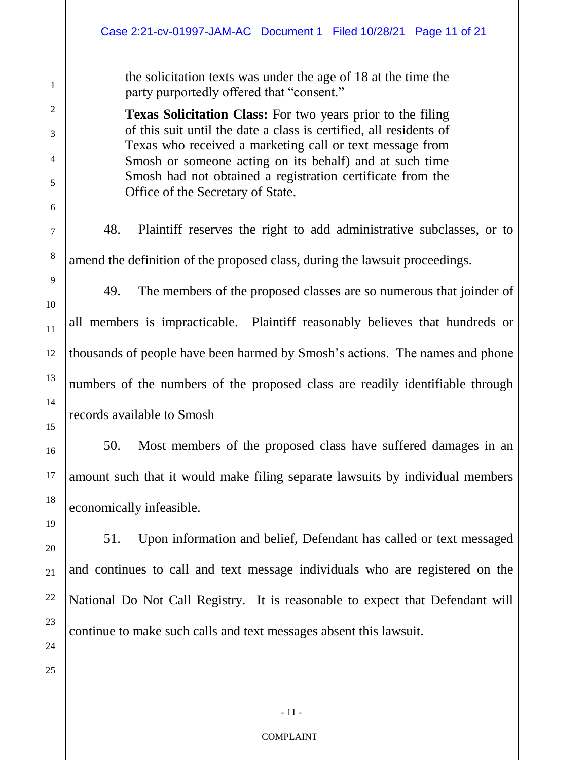| Case 2:21-cv-01997-JAM-AC Document 1 Filed 10/28/21 Page 11 of 21                                                                                                                                                                                                                                                                                                  |  |  |  |  |
|--------------------------------------------------------------------------------------------------------------------------------------------------------------------------------------------------------------------------------------------------------------------------------------------------------------------------------------------------------------------|--|--|--|--|
| the solicitation texts was under the age of 18 at the time the<br>party purportedly offered that "consent."                                                                                                                                                                                                                                                        |  |  |  |  |
| <b>Texas Solicitation Class:</b> For two years prior to the filing<br>of this suit until the date a class is certified, all residents of<br>Texas who received a marketing call or text message from<br>Smosh or someone acting on its behalf) and at such time<br>Smosh had not obtained a registration certificate from the<br>Office of the Secretary of State. |  |  |  |  |
| 48.<br>Plaintiff reserves the right to add administrative subclasses, or to                                                                                                                                                                                                                                                                                        |  |  |  |  |
| amend the definition of the proposed class, during the lawsuit proceedings.                                                                                                                                                                                                                                                                                        |  |  |  |  |
| The members of the proposed classes are so numerous that joinder of<br>49.                                                                                                                                                                                                                                                                                         |  |  |  |  |
| all members is impracticable. Plaintiff reasonably believes that hundreds or                                                                                                                                                                                                                                                                                       |  |  |  |  |
| thousands of people have been harmed by Smosh's actions. The names and phone                                                                                                                                                                                                                                                                                       |  |  |  |  |
| numbers of the numbers of the proposed class are readily identifiable through                                                                                                                                                                                                                                                                                      |  |  |  |  |
| records available to Smosh                                                                                                                                                                                                                                                                                                                                         |  |  |  |  |
| Most members of the proposed class have suffered damages in an<br>50.                                                                                                                                                                                                                                                                                              |  |  |  |  |
| amount such that it would make filing separate lawsuits by individual members                                                                                                                                                                                                                                                                                      |  |  |  |  |
| economically infeasible.                                                                                                                                                                                                                                                                                                                                           |  |  |  |  |
| Upon information and belief, Defendant has called or text messaged<br>51.                                                                                                                                                                                                                                                                                          |  |  |  |  |
| and continues to call and text message individuals who are registered on the                                                                                                                                                                                                                                                                                       |  |  |  |  |
| National Do Not Call Registry. It is reasonable to expect that Defendant will                                                                                                                                                                                                                                                                                      |  |  |  |  |
| continue to make such calls and text messages absent this lawsuit.                                                                                                                                                                                                                                                                                                 |  |  |  |  |
|                                                                                                                                                                                                                                                                                                                                                                    |  |  |  |  |

24

25

1

2

3

4

5

6

7

8

9

10

11

12

13

14

15

16

17

18

19

20

21

22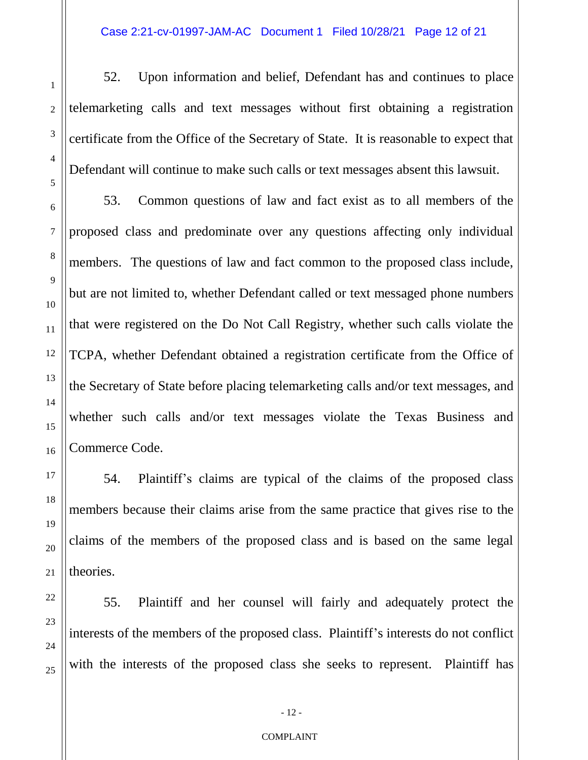52. Upon information and belief, Defendant has and continues to place telemarketing calls and text messages without first obtaining a registration certificate from the Office of the Secretary of State. It is reasonable to expect that Defendant will continue to make such calls or text messages absent this lawsuit.

53. Common questions of law and fact exist as to all members of the proposed class and predominate over any questions affecting only individual members. The questions of law and fact common to the proposed class include, but are not limited to, whether Defendant called or text messaged phone numbers that were registered on the Do Not Call Registry, whether such calls violate the TCPA, whether Defendant obtained a registration certificate from the Office of the Secretary of State before placing telemarketing calls and/or text messages, and whether such calls and/or text messages violate the Texas Business and Commerce Code.

54. Plaintiff's claims are typical of the claims of the proposed class members because their claims arise from the same practice that gives rise to the claims of the members of the proposed class and is based on the same legal theories.

55. Plaintiff and her counsel will fairly and adequately protect the interests of the members of the proposed class. Plaintiff's interests do not conflict with the interests of the proposed class she seeks to represent. Plaintiff has

#### COMPLAINT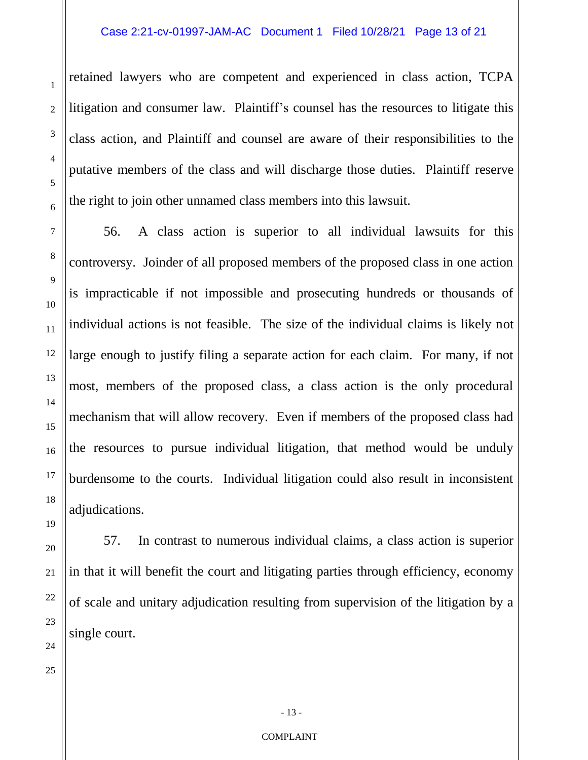retained lawyers who are competent and experienced in class action, TCPA litigation and consumer law. Plaintiff's counsel has the resources to litigate this class action, and Plaintiff and counsel are aware of their responsibilities to the putative members of the class and will discharge those duties. Plaintiff reserve the right to join other unnamed class members into this lawsuit.

56. A class action is superior to all individual lawsuits for this controversy. Joinder of all proposed members of the proposed class in one action is impracticable if not impossible and prosecuting hundreds or thousands of individual actions is not feasible. The size of the individual claims is likely not large enough to justify filing a separate action for each claim. For many, if not most, members of the proposed class, a class action is the only procedural mechanism that will allow recovery. Even if members of the proposed class had the resources to pursue individual litigation, that method would be unduly burdensome to the courts. Individual litigation could also result in inconsistent adjudications.

57. In contrast to numerous individual claims, a class action is superior in that it will benefit the court and litigating parties through efficiency, economy of scale and unitary adjudication resulting from supervision of the litigation by a single court.

1

2

3

4

5

6

7

8

9

10

11

12

13

14

15

16

- 13 -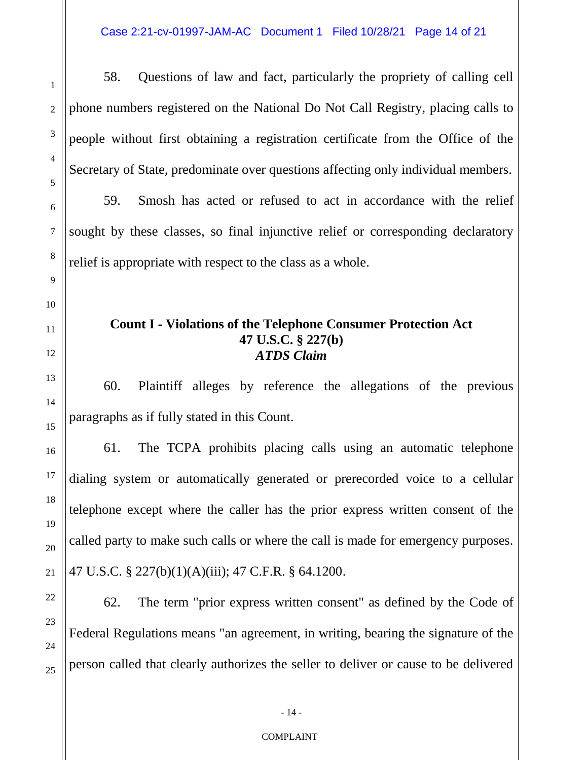1 2 3 4 5 6 7 8 9 10 11 12 13 14 15 16 17 18 19 20 21 22 58. Questions of law and fact, particularly the propriety of calling cell phone numbers registered on the National Do Not Call Registry, placing calls to people without first obtaining a registration certificate from the Office of the Secretary of State, predominate over questions affecting only individual members. 59. Smosh has acted or refused to act in accordance with the relief sought by these classes, so final injunctive relief or corresponding declaratory relief is appropriate with respect to the class as a whole. **Count I - Violations of the Telephone Consumer Protection Act 47 U.S.C. § 227(b)** *ATDS Claim* 60. Plaintiff alleges by reference the allegations of the previous paragraphs as if fully stated in this Count. 61. The TCPA prohibits placing calls using an automatic telephone dialing system or automatically generated or prerecorded voice to a cellular telephone except where the caller has the prior express written consent of the called party to make such calls or where the call is made for emergency purposes. 47 U.S.C. § 227(b)(1)(A)(iii); 47 C.F.R. § 64.1200.

62. The term "prior express written consent" as defined by the Code of Federal Regulations means "an agreement, in writing, bearing the signature of the person called that clearly authorizes the seller to deliver or cause to be delivered

23

24

25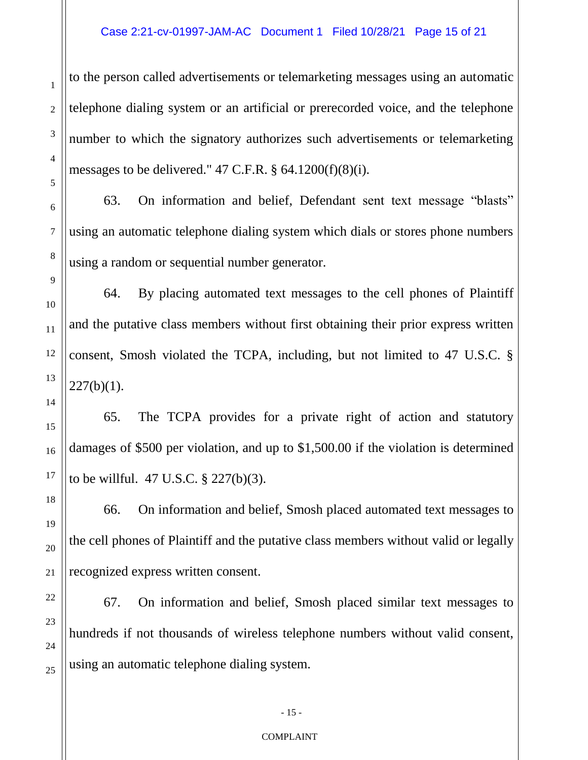## Case 2:21-cv-01997-JAM-AC Document 1 Filed 10/28/21 Page 15 of 21

to the person called advertisements or telemarketing messages using an automatic telephone dialing system or an artificial or prerecorded voice, and the telephone number to which the signatory authorizes such advertisements or telemarketing messages to be delivered."  $47$  C.F.R.  $\S$  64.1200(f)(8)(i).

63. On information and belief, Defendant sent text message "blasts" using an automatic telephone dialing system which dials or stores phone numbers using a random or sequential number generator.

64. By placing automated text messages to the cell phones of Plaintiff and the putative class members without first obtaining their prior express written consent, Smosh violated the TCPA, including, but not limited to 47 U.S.C. §  $227(b)(1)$ .

65. The TCPA provides for a private right of action and statutory damages of \$500 per violation, and up to \$1,500.00 if the violation is determined to be willful. 47 U.S.C. § 227(b)(3).

66. On information and belief, Smosh placed automated text messages to the cell phones of Plaintiff and the putative class members without valid or legally recognized express written consent.

67. On information and belief, Smosh placed similar text messages to hundreds if not thousands of wireless telephone numbers without valid consent, using an automatic telephone dialing system.

#### COMPLAINT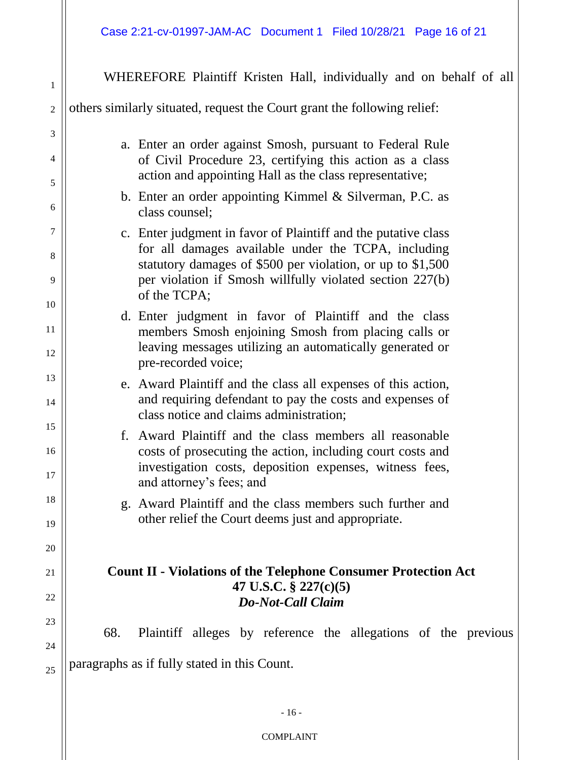1 2 3 4 5 6 7 8 9 10 11 12 13 14 15 16 17 18 19 20 21 22 23 24 25 WHEREFORE Plaintiff Kristen Hall, individually and on behalf of all others similarly situated, request the Court grant the following relief: a. Enter an order against Smosh, pursuant to Federal Rule of Civil Procedure 23, certifying this action as a class action and appointing Hall as the class representative; b. Enter an order appointing Kimmel & Silverman, P.C. as class counsel; c. Enter judgment in favor of Plaintiff and the putative class for all damages available under the TCPA, including statutory damages of \$500 per violation, or up to \$1,500 per violation if Smosh willfully violated section 227(b) of the TCPA; d. Enter judgment in favor of Plaintiff and the class members Smosh enjoining Smosh from placing calls or leaving messages utilizing an automatically generated or pre-recorded voice; e. Award Plaintiff and the class all expenses of this action, and requiring defendant to pay the costs and expenses of class notice and claims administration; f. Award Plaintiff and the class members all reasonable costs of prosecuting the action, including court costs and investigation costs, deposition expenses, witness fees, and attorney's fees; and g. Award Plaintiff and the class members such further and other relief the Court deems just and appropriate. **Count II - Violations of the Telephone Consumer Protection Act 47 U.S.C. § 227(c)(5)** *Do-Not-Call Claim* 68. Plaintiff alleges by reference the allegations of the previous paragraphs as if fully stated in this Count.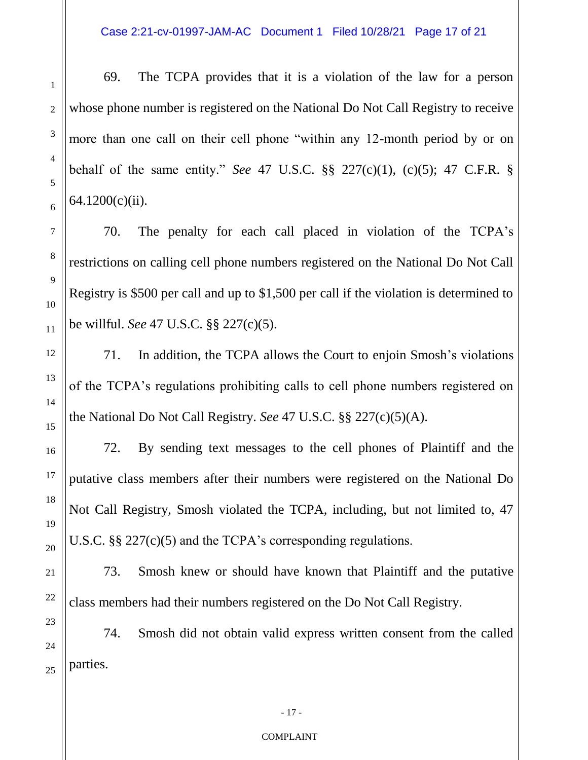Case 2:21-cv-01997-JAM-AC Document 1 Filed 10/28/21 Page 17 of 21

69. The TCPA provides that it is a violation of the law for a person whose phone number is registered on the National Do Not Call Registry to receive more than one call on their cell phone "within any 12-month period by or on behalf of the same entity." *See* 47 U.S.C. §§ 227(c)(1), (c)(5); 47 C.F.R. § 64.1200(c)(ii).

70. The penalty for each call placed in violation of the TCPA's restrictions on calling cell phone numbers registered on the National Do Not Call Registry is \$500 per call and up to \$1,500 per call if the violation is determined to be willful. *See* 47 U.S.C. §§ 227(c)(5).

71. In addition, the TCPA allows the Court to enjoin Smosh's violations of the TCPA's regulations prohibiting calls to cell phone numbers registered on the National Do Not Call Registry. *See* 47 U.S.C. §§ 227(c)(5)(A).

72. By sending text messages to the cell phones of Plaintiff and the putative class members after their numbers were registered on the National Do Not Call Registry, Smosh violated the TCPA, including, but not limited to, 47 U.S.C. §§ 227(c)(5) and the TCPA's corresponding regulations.

73. Smosh knew or should have known that Plaintiff and the putative class members had their numbers registered on the Do Not Call Registry.

74. Smosh did not obtain valid express written consent from the called parties.

#### COMPLAINT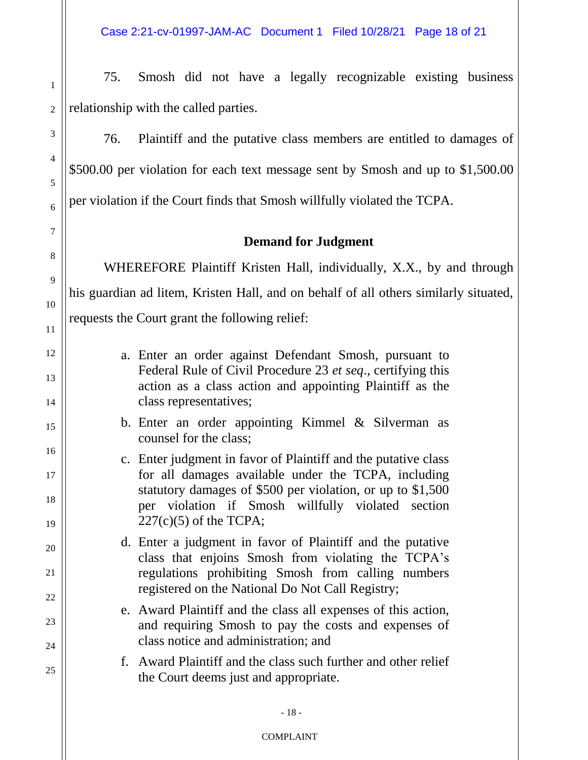75. Smosh did not have a legally recognizable existing business relationship with the called parties.

76. Plaintiff and the putative class members are entitled to damages of \$500.00 per violation for each text message sent by Smosh and up to \$1,500.00 per violation if the Court finds that Smosh willfully violated the TCPA.

## **Demand for Judgment**

WHEREFORE Plaintiff Kristen Hall, individually, X.X., by and through his guardian ad litem, Kristen Hall, and on behalf of all others similarly situated, requests the Court grant the following relief:

- a. Enter an order against Defendant Smosh, pursuant to Federal Rule of Civil Procedure 23 *et seq*., certifying this action as a class action and appointing Plaintiff as the class representatives;
- b. Enter an order appointing Kimmel & Silverman as counsel for the class;
- c. Enter judgment in favor of Plaintiff and the putative class for all damages available under the TCPA, including statutory damages of \$500 per violation, or up to \$1,500 per violation if Smosh willfully violated section  $227(c)(5)$  of the TCPA;
- d. Enter a judgment in favor of Plaintiff and the putative class that enjoins Smosh from violating the TCPA's regulations prohibiting Smosh from calling numbers registered on the National Do Not Call Registry;
- e. Award Plaintiff and the class all expenses of this action, and requiring Smosh to pay the costs and expenses of class notice and administration; and
- f. Award Plaintiff and the class such further and other relief the Court deems just and appropriate.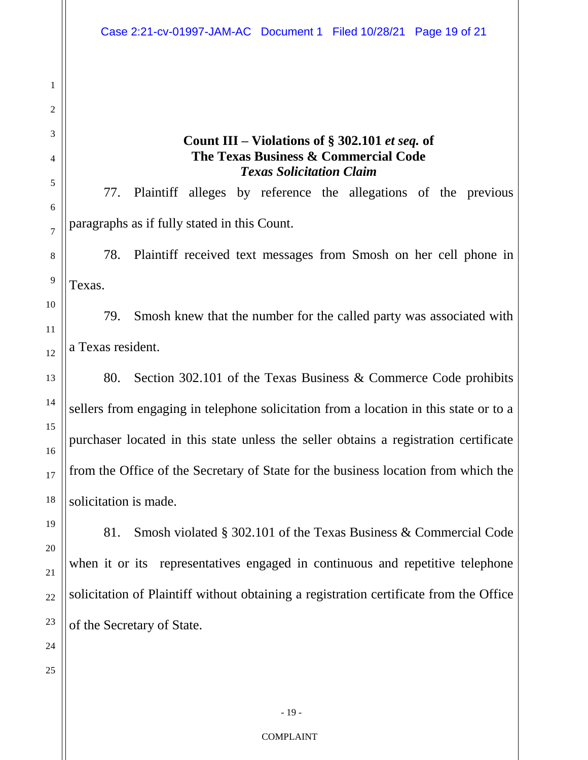## **Count III – Violations of § 302.101** *et seq.* **of The Texas Business & Commercial Code** *Texas Solicitation Claim*

77. Plaintiff alleges by reference the allegations of the previous paragraphs as if fully stated in this Count.

78. Plaintiff received text messages from Smosh on her cell phone in Texas.

79. Smosh knew that the number for the called party was associated with a Texas resident.

80. Section 302.101 of the Texas Business & Commerce Code prohibits sellers from engaging in telephone solicitation from a location in this state or to a purchaser located in this state unless the seller obtains a registration certificate from the Office of the Secretary of State for the business location from which the solicitation is made.

81. Smosh violated § 302.101 of the Texas Business & Commercial Code when it or its representatives engaged in continuous and repetitive telephone solicitation of Plaintiff without obtaining a registration certificate from the Office of the Secretary of State.

1

2

3

4

5

6

7

8

- 19 -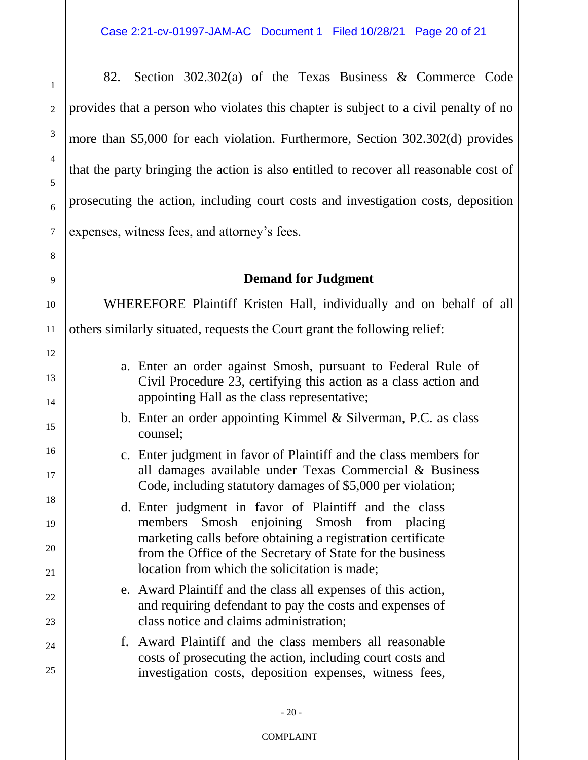82. Section 302.302(a) of the Texas Business & Commerce Code provides that a person who violates this chapter is subject to a civil penalty of no more than \$5,000 for each violation. Furthermore, Section 302.302(d) provides that the party bringing the action is also entitled to recover all reasonable cost of prosecuting the action, including court costs and investigation costs, deposition expenses, witness fees, and attorney's fees.

1

2

3

4

5

6

7

8

9

10

11

12

13

14

15

16

17

18

19

20

21

22

23

24

25

# **Demand for Judgment**

WHEREFORE Plaintiff Kristen Hall, individually and on behalf of all others similarly situated, requests the Court grant the following relief:

- a. Enter an order against Smosh, pursuant to Federal Rule of Civil Procedure 23, certifying this action as a class action and appointing Hall as the class representative;
- b. Enter an order appointing Kimmel & Silverman, P.C. as class counsel;
- c. Enter judgment in favor of Plaintiff and the class members for all damages available under Texas Commercial & Business Code, including statutory damages of \$5,000 per violation;
- d. Enter judgment in favor of Plaintiff and the class members Smosh enjoining Smosh from placing marketing calls before obtaining a registration certificate from the Office of the Secretary of State for the business location from which the solicitation is made;
- e. Award Plaintiff and the class all expenses of this action, and requiring defendant to pay the costs and expenses of class notice and claims administration;
- f. Award Plaintiff and the class members all reasonable costs of prosecuting the action, including court costs and investigation costs, deposition expenses, witness fees,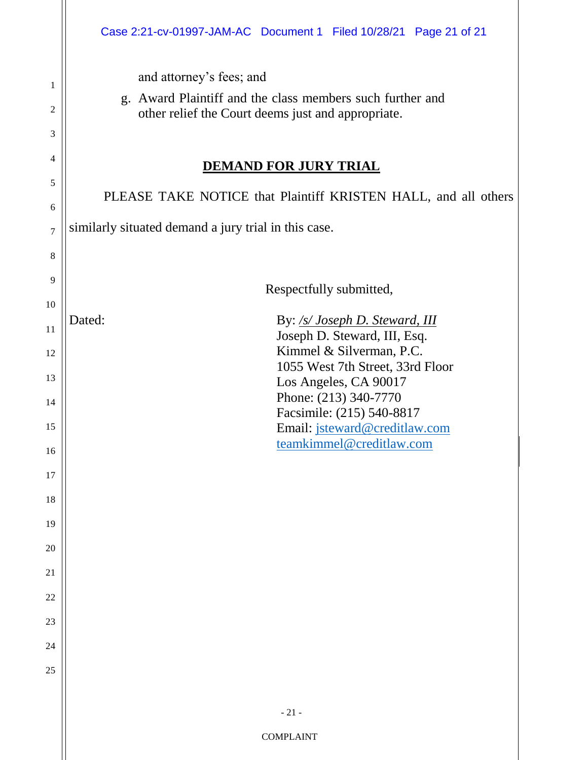and attorney's fees; and

1

2

3

4

5

6

7

8

9

10

11

12

13

14

15

16

17

18

19

20

21

22

23

24

25

g. Award Plaintiff and the class members such further and other relief the Court deems just and appropriate.

## **DEMAND FOR JURY TRIAL**

PLEASE TAKE NOTICE that Plaintiff KRISTEN HALL, and all others similarly situated demand a jury trial in this case. Respectfully submitted, Dated: By: */s/ Joseph D. Steward, III*  Joseph D. Steward, III, Esq. Kimmel & Silverman, P.C. 1055 West 7th Street, 33rd Floor Los Angeles, CA 90017 Phone: (213) 340-7770 Facsimile: (215) 540-8817 Email: jsteward@creditlaw.com teamkimmel@creditlaw.com